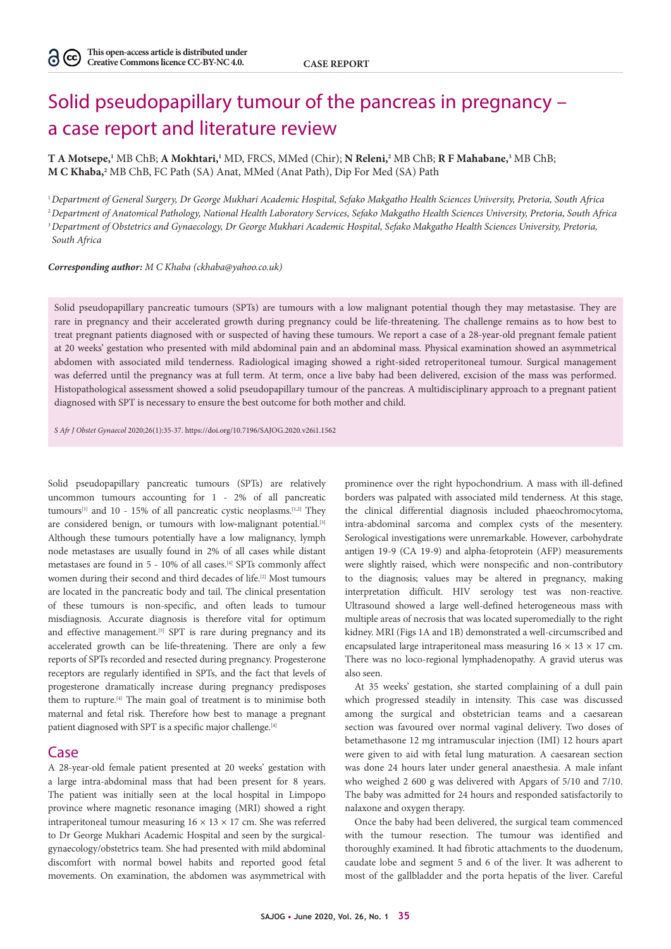# Solid pseudopapillary tumour of the pancreas in pregnancy – a case report and literature review

**T A Motsepe,1** MB ChB; **A Mokhtari,1** MD, FRCS, MMed (Chir); **N Releni,2** MB ChB; **R F Mahabane,3** MB ChB; **M C Khaba,2** MB ChB, FC Path (SA) Anat, MMed (Anat Path), Dip For Med (SA) Path

*Department of General Surgery, Dr George Mukhari Academic Hospital, Sefako Makgatho Health Sciences University, Pretoria, South Africa Department of Anatomical Pathology, National Health Laboratory Services, Sefako Makgatho Health Sciences University, Pretoria, South Africa Department of Obstetrics and Gynaecology, Dr George Mukhari Academic Hospital, Sefako Makgatho Health Sciences University, Pretoria, South Africa*

*Corresponding author: M C Khaba (ckhaba@yahoo.co.uk)*

Solid pseudopapillary pancreatic tumours (SPTs) are tumours with a low malignant potential though they may metastasise. They are rare in pregnancy and their accelerated growth during pregnancy could be life-threatening. The challenge remains as to how best to treat pregnant patients diagnosed with or suspected of having these tumours. We report a case of a 28-year-old pregnant female patient at 20 weeks' gestation who presented with mild abdominal pain and an abdominal mass. Physical examination showed an asymmetrical abdomen with associated mild tenderness. Radiological imaging showed a right-sided retroperitoneal tumour. Surgical management was deferred until the pregnancy was at full term. At term, once a live baby had been delivered, excision of the mass was performed. Histopathological assessment showed a solid pseudopapillary tumour of the pancreas. A multidisciplinary approach to a pregnant patient diagnosed with SPT is necessary to ensure the best outcome for both mother and child.

*S Afr J Obstet Gynaecol* 2020;26(1):35-37. https://doi.org/10.7196/SAJOG.2020.v26i1.1562

Solid pseudopapillary pancreatic tumours (SPTs) are relatively uncommon tumours accounting for 1 - 2% of all pancreatic tumours<sup>[1]</sup> and 10 - 15% of all pancreatic cystic neoplasms.<sup>[1,2]</sup> They are considered benign, or tumours with low-malignant potential.<sup>[3]</sup> Although these tumours potentially have a low malignancy, lymph node metastases are usually found in 2% of all cases while distant metastases are found in 5 - 10% of all cases.[4] SPTs commonly affect women during their second and third decades of life.<sup>[2]</sup> Most tumours are located in the pancreatic body and tail. The clinical presentation of these tumours is non-specific, and often leads to tumour misdiagnosis. Accurate diagnosis is therefore vital for optimum and effective management.<sup>[5]</sup> SPT is rare during pregnancy and its accelerated growth can be life-threatening. There are only a few reports of SPTs recorded and resected during pregnancy. Progesterone receptors are regularly identified in SPTs, and the fact that levels of progesterone dramatically increase during pregnancy predisposes them to rupture.[4] The main goal of treatment is to minimise both maternal and fetal risk. Therefore how best to manage a pregnant patient diagnosed with SPT is a specific major challenge.<sup>[4]</sup>

## Case

A 28-year-old female patient presented at 20 weeks' gestation with a large intra-abdominal mass that had been present for 8 years. The patient was initially seen at the local hospital in Limpopo province where magnetic resonance imaging (MRI) showed a right intraperitoneal tumour measuring  $16 \times 13 \times 17$  cm. She was referred to Dr George Mukhari Academic Hospital and seen by the surgicalgynaecology/obstetrics team. She had presented with mild abdominal discomfort with normal bowel habits and reported good fetal movements. On examination, the abdomen was asymmetrical with

prominence over the right hypochondrium. A mass with ill-defined borders was palpated with associated mild tenderness. At this stage, the clinical differential diagnosis included phaeochromocytoma, intra-abdominal sarcoma and complex cysts of the mesentery. Serological investigations were unremarkable. However, carbohydrate antigen 19-9 (CA 19-9) and alpha-fetoprotein (AFP) measurements were slightly raised, which were nonspecific and non-contributory to the diagnosis; values may be altered in pregnancy, making interpretation difficult. HIV serology test was non-reactive. Ultrasound showed a large well-defined heterogeneous mass with multiple areas of necrosis that was located superomedially to the right kidney. MRI (Figs 1A and 1B) demonstrated a well-circumscribed and encapsulated large intraperitoneal mass measuring  $16 \times 13 \times 17$  cm. There was no loco-regional lymphadenopathy. A gravid uterus was also seen.

At 35 weeks' gestation, she started complaining of a dull pain which progressed steadily in intensity. This case was discussed among the surgical and obstetrician teams and a caesarean section was favoured over normal vaginal delivery. Two doses of betamethasone 12 mg intramuscular injection (IMI) 12 hours apart were given to aid with fetal lung maturation. A caesarean section was done 24 hours later under general anaesthesia. A male infant who weighed 2 600 g was delivered with Apgars of 5/10 and 7/10. The baby was admitted for 24 hours and responded satisfactorily to nalaxone and oxygen therapy.

Once the baby had been delivered, the surgical team commenced with the tumour resection. The tumour was identified and thoroughly examined. It had fibrotic attachments to the duodenum, caudate lobe and segment 5 and 6 of the liver. It was adherent to most of the gallbladder and the porta hepatis of the liver. Careful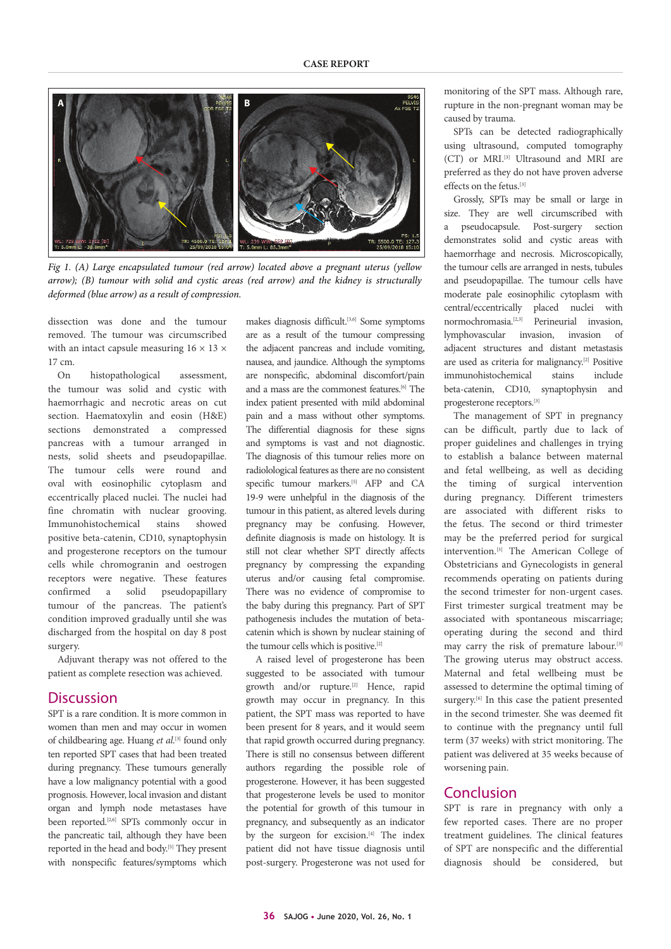

*Fig 1. (A) Large encapsulated tumour (red arrow) located above a pregnant uterus (yellow arrow); (B) tumour with solid and cystic areas (red arrow) and the kidney is structurally deformed (blue arrow) as a result of compression.*

dissection was done and the tumour removed. The tumour was circumscribed with an intact capsule measuring  $16 \times 13 \times$ 17 cm.

On histopathological assessment, the tumour was solid and cystic with haemorrhagic and necrotic areas on cut section. Haematoxylin and eosin (H&E) sections demonstrated a compressed pancreas with a tumour arranged in nests, solid sheets and pseudopapillae. The tumour cells were round and oval with eosinophilic cytoplasm and eccentrically placed nuclei. The nuclei had fine chromatin with nuclear grooving. Immunohistochemical stains showed positive beta-catenin, CD10, synaptophysin and progesterone receptors on the tumour cells while chromogranin and oestrogen receptors were negative. These features confirmed a solid pseudopapillary tumour of the pancreas. The patient's condition improved gradually until she was discharged from the hospital on day 8 post surgery.

Adjuvant therapy was not offered to the patient as complete resection was achieved.

# **Discussion**

SPT is a rare condition. It is more common in women than men and may occur in women of childbearing age. Huang *et al*.<sup>[3]</sup> found only ten reported SPT cases that had been treated during pregnancy. These tumours generally have a low malignancy potential with a good prognosis. However, local invasion and distant organ and lymph node metastases have been reported.<sup>[2,6]</sup> SPTs commonly occur in the pancreatic tail, although they have been reported in the head and body.[5] They present with nonspecific features/symptoms which

makes diagnosis difficult.[3,6] Some symptoms are as a result of the tumour compressing the adjacent pancreas and include vomiting, nausea, and jaundice. Although the symptoms are nonspecific, abdominal discomfort/pain and a mass are the commonest features.[6] The index patient presented with mild abdominal pain and a mass without other symptoms. The differential diagnosis for these signs and symptoms is vast and not diagnostic. The diagnosis of this tumour relies more on radiolological features as there are no consistent specific tumour markers.[5] AFP and CA 19-9 were unhelpful in the diagnosis of the tumour in this patient, as altered levels during pregnancy may be confusing. However, definite diagnosis is made on histology. It is still not clear whether SPT directly affects pregnancy by compressing the expanding uterus and/or causing fetal compromise. There was no evidence of compromise to the baby during this pregnancy. Part of SPT pathogenesis includes the mutation of betacatenin which is shown by nuclear staining of the tumour cells which is positive.[2]

A raised level of progesterone has been suggested to be associated with tumour growth and/or rupture.<sup>[2]</sup> Hence, rapid growth may occur in pregnancy. In this patient, the SPT mass was reported to have been present for 8 years, and it would seem that rapid growth occurred during pregnancy. There is still no consensus between different authors regarding the possible role of progesterone. However, it has been suggested that progesterone levels be used to monitor the potential for growth of this tumour in pregnancy, and subsequently as an indicator by the surgeon for excision.<sup>[4]</sup> The index patient did not have tissue diagnosis until post-surgery. Progesterone was not used for

monitoring of the SPT mass. Although rare, rupture in the non-pregnant woman may be caused by trauma.

SPTs can be detected radiographically using ultrasound, computed tomography (CT) or MRI.[3] Ultrasound and MRI are preferred as they do not have proven adverse effects on the fetus.[3]

Grossly, SPTs may be small or large in size. They are well circumscribed with a pseudocapsule. Post-surgery section demonstrates solid and cystic areas with haemorrhage and necrosis. Microscopically, the tumour cells are arranged in nests, tubules and pseudopapillae. The tumour cells have moderate pale eosinophilic cytoplasm with central/eccentrically placed nuclei with normochromasia.[2,3] Perineurial invasion, lymphovascular invasion, invasion of adjacent structures and distant metastasis are used as criteria for malignancy.[2] Positive immunohistochemical stains include beta-catenin, CD10, synaptophysin and progesterone receptors.[3]

The management of SPT in pregnancy can be difficult, partly due to lack of proper guidelines and challenges in trying to establish a balance between maternal and fetal wellbeing, as well as deciding the timing of surgical intervention during pregnancy. Different trimesters are associated with different risks to the fetus. The second or third trimester may be the preferred period for surgical intervention.[3] The American College of Obstetricians and Gynecologists in general recommends operating on patients during the second trimester for non-urgent cases. First trimester surgical treatment may be associated with spontaneous miscarriage; operating during the second and third may carry the risk of premature labour.[3] The growing uterus may obstruct access. Maternal and fetal wellbeing must be assessed to determine the optimal timing of surgery.<sup>[6]</sup> In this case the patient presented in the second trimester. She was deemed fit to continue with the pregnancy until full term (37 weeks) with strict monitoring. The patient was delivered at 35 weeks because of worsening pain.

# Conclusion

SPT is rare in pregnancy with only a few reported cases. There are no proper treatment guidelines. The clinical features of SPT are nonspecific and the differential diagnosis should be considered, but